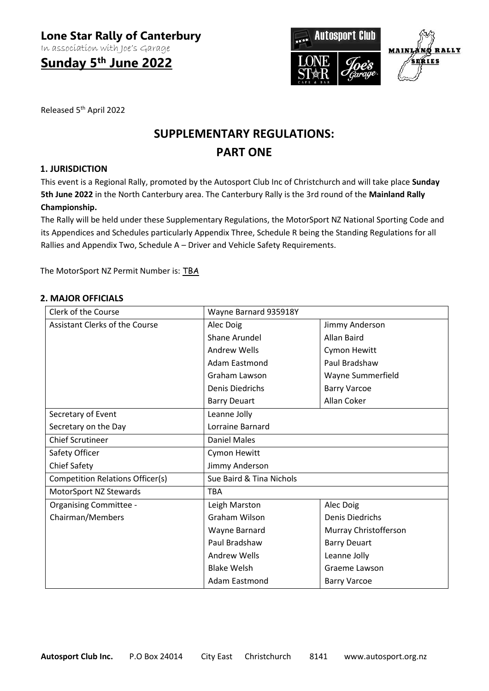In association with Joe's Garage

**Sunday 5th June 2022**



Released 5th April 2022

# **SUPPLEMENTARY REGULATIONS: PART ONE**

## **1. JURISDICTION**

This event is a Regional Rally, promoted by the Autosport Club Inc of Christchurch and will take place **Sunday 5th June 2022** in the North Canterbury area. The Canterbury Rally is the 3rd round of the **Mainland Rally Championship.**

The Rally will be held under these Supplementary Regulations, the MotorSport NZ National Sporting Code and its Appendices and Schedules particularly Appendix Three, Schedule R being the Standing Regulations for all Rallies and Appendix Two, Schedule A – Driver and Vehicle Safety Requirements.

The MotorSport NZ Permit Number is: TBA

## **2. MAJOR OFFICIALS**

| Clerk of the Course                   | Wayne Barnard 935918Y    |                        |
|---------------------------------------|--------------------------|------------------------|
| <b>Assistant Clerks of the Course</b> | Alec Doig                | Jimmy Anderson         |
|                                       | <b>Shane Arundel</b>     | <b>Allan Baird</b>     |
|                                       | <b>Andrew Wells</b>      | Cymon Hewitt           |
|                                       | Adam Eastmond            | Paul Bradshaw          |
|                                       | Graham Lawson            | Wayne Summerfield      |
|                                       | <b>Denis Diedrichs</b>   | <b>Barry Varcoe</b>    |
|                                       | <b>Barry Deuart</b>      | Allan Coker            |
| Secretary of Event                    | Leanne Jolly             |                        |
| Secretary on the Day                  | Lorraine Barnard         |                        |
| <b>Chief Scrutineer</b>               | <b>Daniel Males</b>      |                        |
| Safety Officer                        | Cymon Hewitt             |                        |
| <b>Chief Safety</b>                   | Jimmy Anderson           |                        |
| Competition Relations Officer(s)      | Sue Baird & Tina Nichols |                        |
| MotorSport NZ Stewards                | <b>TBA</b>               |                        |
| <b>Organising Committee -</b>         | Leigh Marston            | Alec Doig              |
| Chairman/Members                      | Graham Wilson            | <b>Denis Diedrichs</b> |
|                                       | Wayne Barnard            | Murray Christofferson  |
|                                       | Paul Bradshaw            | <b>Barry Deuart</b>    |
|                                       | Andrew Wells             | Leanne Jolly           |
|                                       | <b>Blake Welsh</b>       | Graeme Lawson          |
|                                       | <b>Adam Eastmond</b>     | <b>Barry Varcoe</b>    |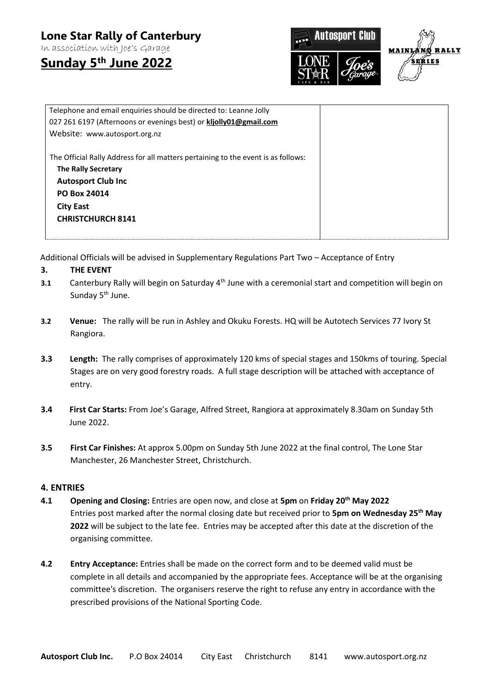In association with Joe's Garage

**Sunday 5th June 2022**



| Telephone and email enquiries should be directed to: Leanne Jolly<br>027 261 6197 (Afternoons or evenings best) or kljolly01@gmail.com                                                                       |  |
|--------------------------------------------------------------------------------------------------------------------------------------------------------------------------------------------------------------|--|
| Website: www.autosport.org.nz                                                                                                                                                                                |  |
| The Official Rally Address for all matters pertaining to the event is as follows:<br><b>The Rally Secretary</b><br><b>Autosport Club Inc</b><br>PO Box 24014<br><b>City East</b><br><b>CHRISTCHURCH 8141</b> |  |

Additional Officials will be advised in Supplementary Regulations Part Two – Acceptance of Entry

## **3. THE EVENT**

- **3.1** Canterbury Rally will begin on Saturday 4<sup>th</sup> June with a ceremonial start and competition will begin on Sunday 5<sup>th</sup> June.
- **3.2 Venue:** The rally will be run in Ashley and Okuku Forests. HQ will be Autotech Services 77 Ivory St Rangiora.
- **3.3 Length:** The rally comprises of approximately 120 kms of special stages and 150kms of touring. Special Stages are on very good forestry roads. A full stage description will be attached with acceptance of entry.
- **3.4 First Car Starts:** From Joe's Garage, Alfred Street, Rangiora at approximately 8.30am on Sunday 5th June 2022.
- **3.5 First Car Finishes:** At approx 5.00pm on Sunday 5th June 2022 at the final control, The Lone Star Manchester, 26 Manchester Street, Christchurch.

#### **4. ENTRIES**

- **4.1 Opening and Closing:** Entries are open now, and close at **5pm** on **Friday 20th May 2022** Entries post marked after the normal closing date but received prior to **5pm on Wednesday 25 th May 2022** will be subject to the late fee. Entries may be accepted after this date at the discretion of the organising committee.
- **4.2 Entry Acceptance:** Entries shall be made on the correct form and to be deemed valid must be complete in all details and accompanied by the appropriate fees. Acceptance will be at the organising committee's discretion. The organisers reserve the right to refuse any entry in accordance with the prescribed provisions of the National Sporting Code.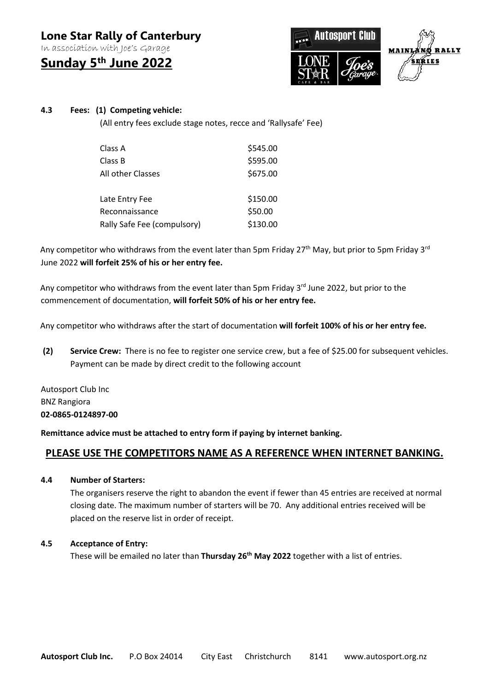In association with Joe's Garage

**Sunday 5th June 2022**



## **4.3 Fees: (1) Competing vehicle:**

(All entry fees exclude stage notes, recce and 'Rallysafe' Fee)

| Class A                     | \$545.00 |
|-----------------------------|----------|
| Class B                     | \$595.00 |
| All other Classes           | \$675.00 |
|                             |          |
| Late Entry Fee              | \$150.00 |
| Reconnaissance              | \$50.00  |
| Rally Safe Fee (compulsory) | \$130.00 |

Any competitor who withdraws from the event later than 5pm Friday 27<sup>th</sup> May, but prior to 5pm Friday 3<sup>rd</sup> June 2022 **will forfeit 25% of his or her entry fee.**

Any competitor who withdraws from the event later than 5pm Friday 3<sup>rd</sup> June 2022, but prior to the commencement of documentation, **will forfeit 50% of his or her entry fee.**

Any competitor who withdraws after the start of documentation **will forfeit 100% of his or her entry fee.**

**(2) Service Crew:** There is no fee to register one service crew, but a fee of \$25.00 for subsequent vehicles. Payment can be made by direct credit to the following account

Autosport Club Inc BNZ Rangiora **02-0865-0124897-00**

**Remittance advice must be attached to entry form if paying by internet banking.** 

## **PLEASE USE THE COMPETITORS NAME AS A REFERENCE WHEN INTERNET BANKING.**

**4.4 Number of Starters:**

The organisers reserve the right to abandon the event if fewer than 45 entries are received at normal closing date. The maximum number of starters will be 70. Any additional entries received will be placed on the reserve list in order of receipt.

## **4.5 Acceptance of Entry:**

These will be emailed no later than **Thursday 26 th May 2022** together with a list of entries.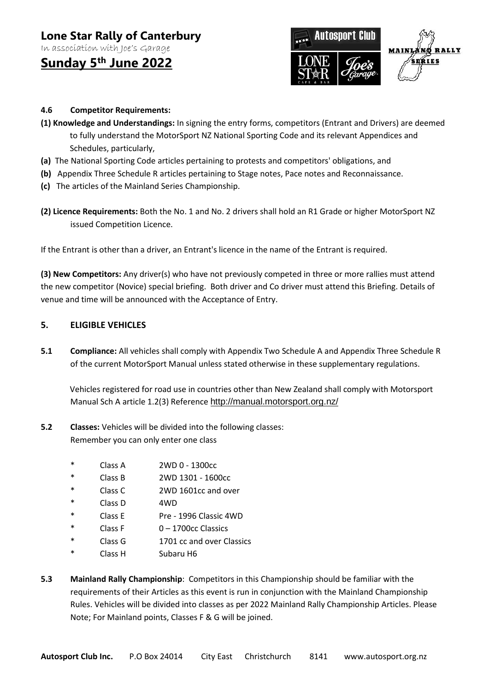In association with Joe's Garage

## **Sunday 5th June 2022**



## **4.6 Competitor Requirements:**

- **(1) Knowledge and Understandings:** In signing the entry forms, competitors (Entrant and Drivers) are deemed to fully understand the MotorSport NZ National Sporting Code and its relevant Appendices and Schedules, particularly,
- **(a)** The National Sporting Code articles pertaining to protests and competitors' obligations, and
- **(b)** Appendix Three Schedule R articles pertaining to Stage notes, Pace notes and Reconnaissance.
- **(c)** The articles of the Mainland Series Championship.
- **(2) Licence Requirements:** Both the No. 1 and No. 2 drivers shall hold an R1 Grade or higher MotorSport NZ issued Competition Licence.

If the Entrant is other than a driver, an Entrant's licence in the name of the Entrant is required.

**(3) New Competitors:** Any driver(s) who have not previously competed in three or more rallies must attend the new competitor (Novice) special briefing. Both driver and Co driver must attend this Briefing. Details of venue and time will be announced with the Acceptance of Entry.

#### **5. ELIGIBLE VEHICLES**

**5.1 Compliance:** All vehicles shall comply with Appendix Two Schedule A and Appendix Three Schedule R of the current MotorSport Manual unless stated otherwise in these supplementary regulations.

Vehicles registered for road use in countries other than New Zealand shall comply with Motorsport Manual Sch A article 1.2(3) Reference <http://manual.motorsport.org.nz/>

- **5.2 Classes:** Vehicles will be divided into the following classes: Remember you can only enter one class
	- \* Class A 2WD 0 1300cc
	- \* Class B 2WD 1301 1600cc
	- \* Class C 2WD 1601cc and over
	- \* Class D 4WD
	- \* Class E Pre 1996 Classic 4WD
	- \* Class F 0 1700cc Classics
	- \* Class G 1701 cc and over Classics
	- \* Class H Subaru H6
- **5.3 Mainland Rally Championship**: Competitors in this Championship should be familiar with the requirements of their Articles as this event is run in conjunction with the Mainland Championship Rules. Vehicles will be divided into classes as per 2022 Mainland Rally Championship Articles. Please Note; For Mainland points, Classes F & G will be joined.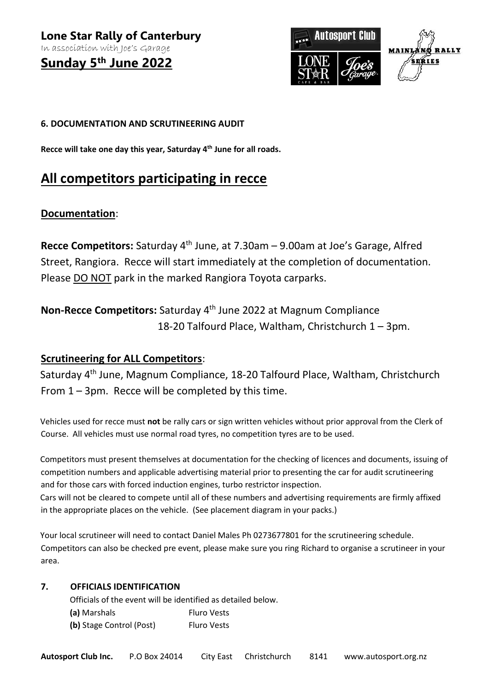**Sunday 5th June 2022**



## **6. DOCUMENTATION AND SCRUTINEERING AUDIT**

**Recce will take one day this year, Saturday 4 th June for all roads.** 

## **All competitors participating in recce**

## **Documentation**:

Recce Competitors: Saturday 4<sup>th</sup> June, at 7.30am – 9.00am at Joe's Garage, Alfred Street, Rangiora. Recce will start immediately at the completion of documentation. Please DO NOT park in the marked Rangiora Toyota carparks.

## Non-Recce Competitors: Saturday 4<sup>th</sup> June 2022 at Magnum Compliance 18-20 Talfourd Place, Waltham, Christchurch 1 – 3pm.

## **Scrutineering for ALL Competitors**:

Saturday 4<sup>th</sup> June, Magnum Compliance, 18-20 Talfourd Place, Waltham, Christchurch From 1 – 3pm. Recce will be completed by this time.

Vehicles used for recce must **not** be rally cars or sign written vehicles without prior approval from the Clerk of Course. All vehicles must use normal road tyres, no competition tyres are to be used.

Competitors must present themselves at documentation for the checking of licences and documents, issuing of competition numbers and applicable advertising material prior to presenting the car for audit scrutineering and for those cars with forced induction engines, turbo restrictor inspection. Cars will not be cleared to compete until all of these numbers and advertising requirements are firmly affixed in the appropriate places on the vehicle. (See placement diagram in your packs.)

Your local scrutineer will need to contact Daniel Males Ph 0273677801 for the scrutineering schedule. Competitors can also be checked pre event, please make sure you ring Richard to organise a scrutineer in your area.

## **7. OFFICIALS IDENTIFICATION**

Officials of the event will be identified as detailed below. **(a)** Marshals Fluro Vests

**(b)** Stage Control (Post) Fluro Vests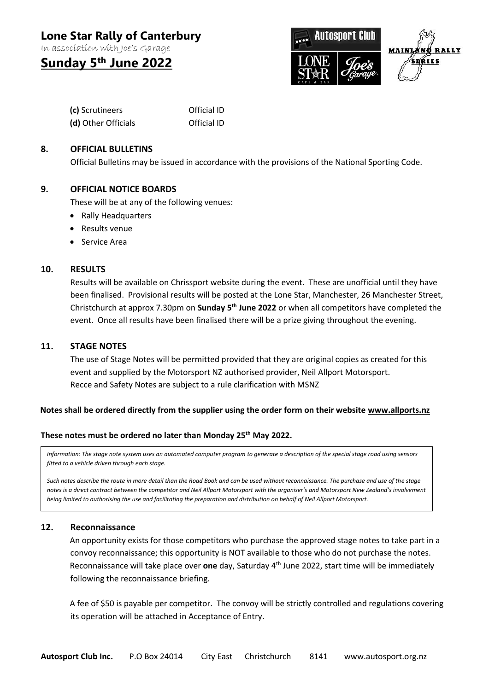In association with Joe's Garage

## **Sunday 5th June 2022**



| (c) Scrutineers     | Official ID |
|---------------------|-------------|
| (d) Other Officials | Official ID |

## **8. OFFICIAL BULLETINS**

Official Bulletins may be issued in accordance with the provisions of the National Sporting Code.

## **9. OFFICIAL NOTICE BOARDS**

These will be at any of the following venues:

- Rally Headquarters
- Results venue
- Service Area

#### **10. RESULTS**

Results will be available on Chrissport website during the event. These are unofficial until they have been finalised. Provisional results will be posted at the Lone Star, Manchester, 26 Manchester Street, Christchurch at approx 7.30pm on **Sunday 5th June 2022** or when all competitors have completed the event. Once all results have been finalised there will be a prize giving throughout the evening.

#### **11. STAGE NOTES**

The use of Stage Notes will be permitted provided that they are original copies as created for this event and supplied by the Motorsport NZ authorised provider, Neil Allport Motorsport. Recce and Safety Notes are subject to a rule clarification with MSNZ

## **Notes shall be ordered directly from the supplier using the order form on their website [www.allports.nz](http://www.allports.nz/)**

#### **These notes must be ordered no later than Monday 25th May 2022.**

*Information: The stage note system uses an automated computer program to generate a description of the special stage road using sensors fitted to a vehicle driven through each stage.*

*Such notes describe the route in more detail than the Road Book and can be used without reconnaissance. The purchase and use of the stage notes is a direct contract between the competitor and Neil Allport Motorsport with the organiser's and Motorsport New Zealand's involvement being limited to authorising the use and facilitating the preparation and distribution on behalf of Neil Allport Motorsport.*

## **12. Reconnaissance**

An opportunity exists for those competitors who purchase the approved stage notes to take part in a convoy reconnaissance; this opportunity is NOT available to those who do not purchase the notes. Reconnaissance will take place over one day, Saturday 4<sup>th</sup> June 2022, start time will be immediately following the reconnaissance briefing.

A fee of \$50 is payable per competitor. The convoy will be strictly controlled and regulations covering its operation will be attached in Acceptance of Entry.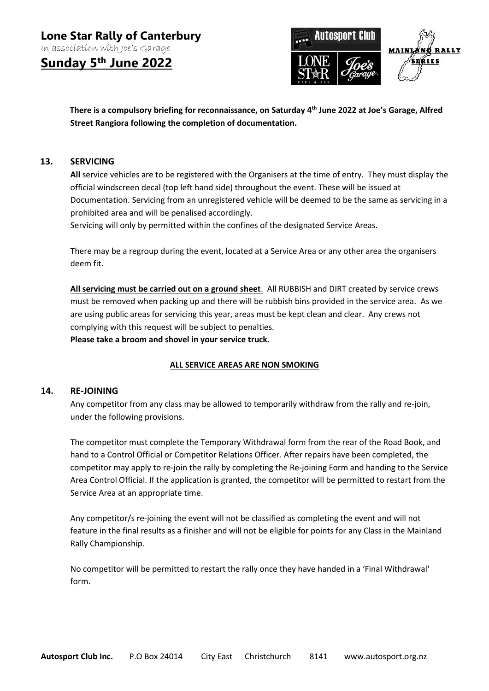**Sunday 5th June 2022**



**There is a compulsory briefing for reconnaissance, on Saturday 4 th June 2022 at Joe's Garage, Alfred Street Rangiora following the completion of documentation.**

## **13. SERVICING**

**All** service vehicles are to be registered with the Organisers at the time of entry. They must display the official windscreen decal (top left hand side) throughout the event. These will be issued at Documentation. Servicing from an unregistered vehicle will be deemed to be the same as servicing in a prohibited area and will be penalised accordingly.

Servicing will only by permitted within the confines of the designated Service Areas.

There may be a regroup during the event, located at a Service Area or any other area the organisers deem fit.

**All servicing must be carried out on a ground sheet**. All RUBBISH and DIRT created by service crews must be removed when packing up and there will be rubbish bins provided in the service area. As we are using public areas for servicing this year, areas must be kept clean and clear. Any crews not complying with this request will be subject to penalties.

**Please take a broom and shovel in your service truck.**

## **ALL SERVICE AREAS ARE NON SMOKING**

#### **14. RE-JOINING**

Any competitor from any class may be allowed to temporarily withdraw from the rally and re-join, under the following provisions.

The competitor must complete the Temporary Withdrawal form from the rear of the Road Book, and hand to a Control Official or Competitor Relations Officer. After repairs have been completed, the competitor may apply to re-join the rally by completing the Re-joining Form and handing to the Service Area Control Official. If the application is granted, the competitor will be permitted to restart from the Service Area at an appropriate time.

 Any competitor/s re-joining the event will not be classified as completing the event and will not feature in the final results as a finisher and will not be eligible for points for any Class in the Mainland Rally Championship.

No competitor will be permitted to restart the rally once they have handed in a 'Final Withdrawal' form.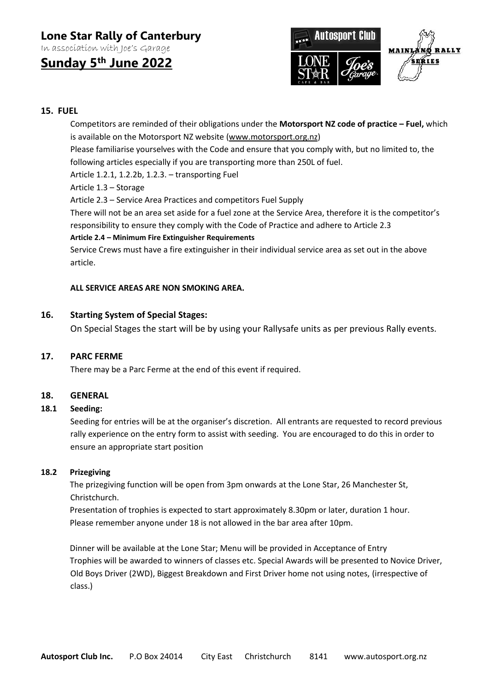In association with Joe's Garage

## **Sunday 5th June 2022**



## **15. FUEL**

Competitors are reminded of their obligations under the **Motorsport NZ code of practice – Fuel,** which is available on the Motorsport NZ website [\(www.motorsport.org.nz\)](http://www.motorsport.org.nz/)

Please familiarise yourselves with the Code and ensure that you comply with, but no limited to, the following articles especially if you are transporting more than 250L of fuel.

Article 1.2.1, 1.2.2b, 1.2.3. – transporting Fuel

Article 1.3 – Storage

Article 2.3 – Service Area Practices and competitors Fuel Supply

There will not be an area set aside for a fuel zone at the Service Area, therefore it is the competitor's responsibility to ensure they comply with the Code of Practice and adhere to Article 2.3

## **Article 2.4 – Minimum Fire Extinguisher Requirements**

Service Crews must have a fire extinguisher in their individual service area as set out in the above article.

## **ALL SERVICE AREAS ARE NON SMOKING AREA.**

## **16. Starting System of Special Stages:**

On Special Stages the start will be by using your Rallysafe units as per previous Rally events.

## **17. PARC FERME**

There may be a Parc Ferme at the end of this event if required.

## **18. GENERAL**

## **18.1 Seeding:**

Seeding for entries will be at the organiser's discretion. All entrants are requested to record previous rally experience on the entry form to assist with seeding. You are encouraged to do this in order to ensure an appropriate start position

## **18.2 Prizegiving**

The prizegiving function will be open from 3pm onwards at the Lone Star, 26 Manchester St, Christchurch.

Presentation of trophies is expected to start approximately 8.30pm or later, duration 1 hour. Please remember anyone under 18 is not allowed in the bar area after 10pm.

Dinner will be available at the Lone Star; Menu will be provided in Acceptance of Entry Trophies will be awarded to winners of classes etc. Special Awards will be presented to Novice Driver, Old Boys Driver (2WD), Biggest Breakdown and First Driver home not using notes, (irrespective of class.)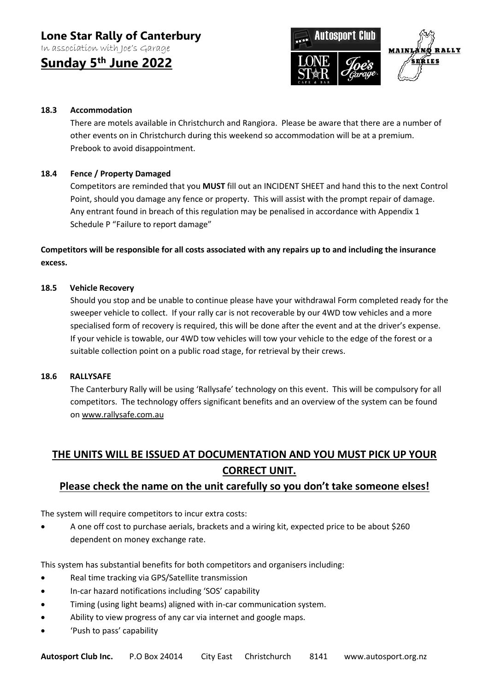In association with Joe's Garage

**Sunday 5th June 2022**



## **18.3 Accommodation**

There are motels available in Christchurch and Rangiora. Please be aware that there are a number of other events on in Christchurch during this weekend so accommodation will be at a premium. Prebook to avoid disappointment.

## **18.4 Fence / Property Damaged**

Competitors are reminded that you **MUST** fill out an INCIDENT SHEET and hand this to the next Control Point, should you damage any fence or property. This will assist with the prompt repair of damage. Any entrant found in breach of this regulation may be penalised in accordance with Appendix 1 Schedule P "Failure to report damage"

**Competitors will be responsible for all costs associated with any repairs up to and including the insurance excess.**

## **18.5 Vehicle Recovery**

Should you stop and be unable to continue please have your withdrawal Form completed ready for the sweeper vehicle to collect. If your rally car is not recoverable by our 4WD tow vehicles and a more specialised form of recovery is required, this will be done after the event and at the driver's expense. If your vehicle is towable, our 4WD tow vehicles will tow your vehicle to the edge of the forest or a suitable collection point on a public road stage, for retrieval by their crews.

## **18.6 RALLYSAFE**

The Canterbury Rally will be using 'Rallysafe' technology on this event. This will be compulsory for all competitors. The technology offers significant benefits and an overview of the system can be found o[n www.rallysafe.com.au](http://www.rallysafe.com.au/)

## **THE UNITS WILL BE ISSUED AT DOCUMENTATION AND YOU MUST PICK UP YOUR CORRECT UNIT.**

## **Please check the name on the unit carefully so you don't take someone elses!**

The system will require competitors to incur extra costs:

 A one off cost to purchase aerials, brackets and a wiring kit, expected price to be about \$260 dependent on money exchange rate.

This system has substantial benefits for both competitors and organisers including:

- Real time tracking via GPS/Satellite transmission
- In-car hazard notifications including 'SOS' capability
- Timing (using light beams) aligned with in-car communication system.
- Ability to view progress of any car via internet and google maps.
- 'Push to pass' capability